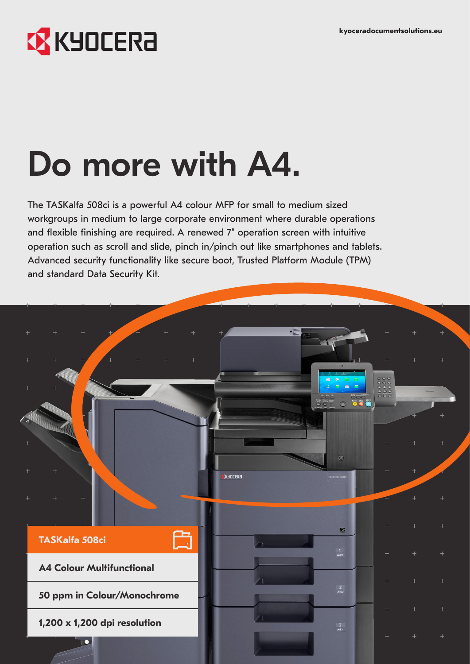## **EX** KYOCERA

# Do more with A4.

The TASKalfa 508ci is a powerful A4 colour MFP for small to medium sized workgroups in medium to large corporate environment where durable operations and flexible finishing are required. A renewed 7" operation screen with intuitive operation such as scroll and slide, pinch in/pinch out like smartphones and tablets. Advanced security functionality like secure boot, Trusted Platform Module (TPM) and standard Data Security Kit.